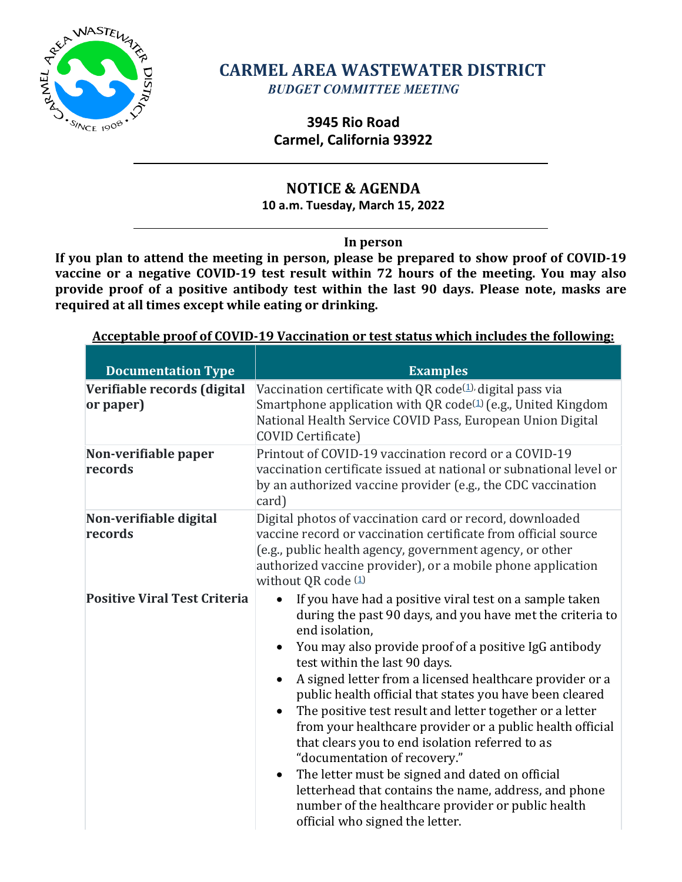

# **CARMEL AREA WASTEWATER DISTRICT** *BUDGET COMMITTEE MEETING*

# **3945 Rio Road Carmel, California 93922**

# **NOTICE & AGENDA**

**10 a.m. Tuesday, March 15, 2022**

## **In person**

**If you plan to attend the meeting in person, please be prepared to show proof of COVID-19 vaccine or a negative COVID-19 test result within 72 hours of the meeting. You may also provide proof of a positive antibody test within the last 90 days. Please note, masks are required at all times except while eating or drinking.**

# **Acceptable proof of COVID-19 Vaccination or test status which includes the following: Documentation Type Examples Verifiable records (digital**

| Verifiable records (digital<br>or paper)<br>Non-verifiable paper<br>records | Vaccination certificate with QR code $(1)$ , digital pass via<br>Smartphone application with QR code <sup>(1)</sup> (e.g., United Kingdom<br>National Health Service COVID Pass, European Union Digital<br><b>COVID Certificate)</b><br>Printout of COVID-19 vaccination record or a COVID-19<br>vaccination certificate issued at national or subnational level or<br>by an authorized vaccine provider (e.g., the CDC vaccination<br>card)                                                                                                                                                                                                                                                                                                                                           |
|-----------------------------------------------------------------------------|----------------------------------------------------------------------------------------------------------------------------------------------------------------------------------------------------------------------------------------------------------------------------------------------------------------------------------------------------------------------------------------------------------------------------------------------------------------------------------------------------------------------------------------------------------------------------------------------------------------------------------------------------------------------------------------------------------------------------------------------------------------------------------------|
| Non-verifiable digital<br>records                                           | Digital photos of vaccination card or record, downloaded<br>vaccine record or vaccination certificate from official source<br>(e.g., public health agency, government agency, or other<br>authorized vaccine provider), or a mobile phone application<br>without QR code (1)                                                                                                                                                                                                                                                                                                                                                                                                                                                                                                           |
| <b>Positive Viral Test Criteria</b>                                         | If you have had a positive viral test on a sample taken<br>during the past 90 days, and you have met the criteria to<br>end isolation,<br>You may also provide proof of a positive IgG antibody<br>test within the last 90 days.<br>A signed letter from a licensed healthcare provider or a<br>public health official that states you have been cleared<br>The positive test result and letter together or a letter<br>from your healthcare provider or a public health official<br>that clears you to end isolation referred to as<br>"documentation of recovery."<br>The letter must be signed and dated on official<br>$\bullet$<br>letterhead that contains the name, address, and phone<br>number of the healthcare provider or public health<br>official who signed the letter. |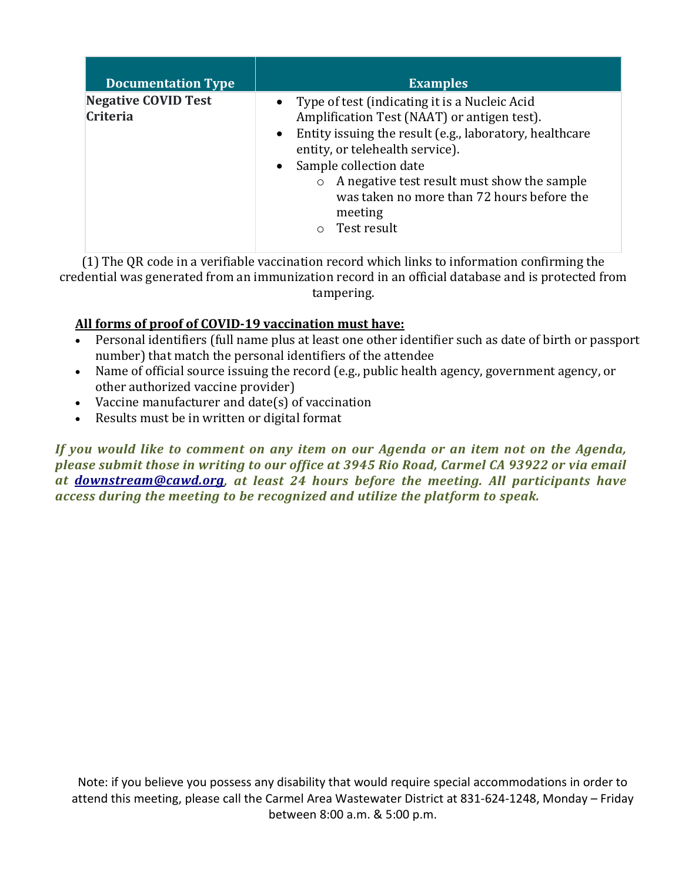| <b>Documentation Type</b>                     | <b>Examples</b>                                                                                                                                                                                                                                                                                                                                                |
|-----------------------------------------------|----------------------------------------------------------------------------------------------------------------------------------------------------------------------------------------------------------------------------------------------------------------------------------------------------------------------------------------------------------------|
| <b>Negative COVID Test</b><br><b>Criteria</b> | • Type of test (indicating it is a Nucleic Acid<br>Amplification Test (NAAT) or antigen test).<br>• Entity issuing the result (e.g., laboratory, healthcare<br>entity, or telehealth service).<br>• Sample collection date<br>A negative test result must show the sample<br>was taken no more than 72 hours before the<br>meeting<br>Test result<br>$\bigcap$ |

(1) The QR code in a verifiable vaccination record which links to information confirming the credential was generated from an immunization record in an official database and is protected from tampering.

## **All forms of proof of COVID-19 vaccination must have:**

- Personal identifiers (full name plus at least one other identifier such as date of birth or passport number) that match the personal identifiers of the attendee
- Name of official source issuing the record (e.g., public health agency, government agency, or other authorized vaccine provider)
- Vaccine manufacturer and date(s) of vaccination
- Results must be in written or digital format

*If you would like to comment on any item on our Agenda or an item not on the Agenda, please submit those in writing to our office at 3945 Rio Road, Carmel CA 93922 or via email at [downstream@cawd.org,](mailto:downstream@cawd.org) at least 24 hours before the meeting. All participants have access during the meeting to be recognized and utilize the platform to speak.*